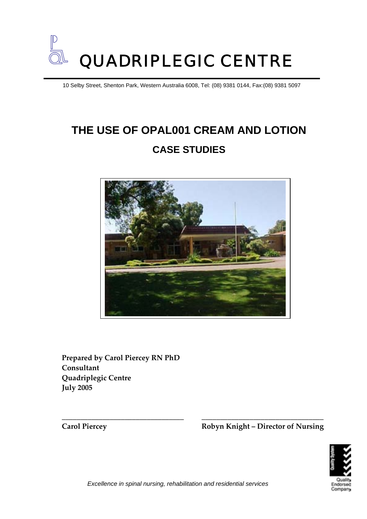

10 Selby Street, Shenton Park, Western Australia 6008, Tel: (08) 9381 0144, Fax:(08) 9381 5097

# **THE USE OF OPAL001 CREAM AND LOTION CASE STUDIES**



**Prepared by Carol Piercey RN PhD Consultant Quadriplegic Centre July 2005**

**Carol Piercey Robyn Knight – Director of Nursing**



*Excellence in spinal nursing, rehabilitation and residential services* 

**\_\_\_\_\_\_\_\_\_\_\_\_\_\_\_\_\_\_\_\_\_\_\_\_\_\_\_\_\_\_\_\_\_ \_\_\_\_\_\_\_\_\_\_\_\_\_\_\_\_\_\_\_\_\_\_\_\_\_\_\_\_\_\_\_\_\_**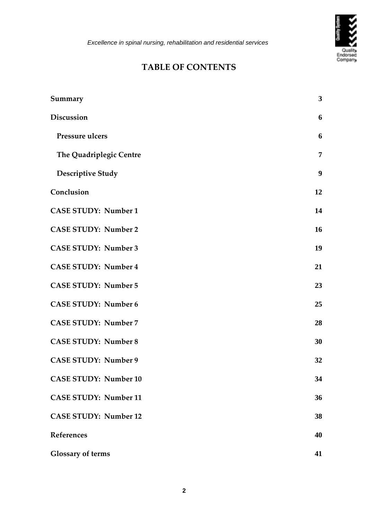

### **TABLE OF CONTENTS**

| Summary                      | $\overline{\mathbf{3}}$ |
|------------------------------|-------------------------|
| <b>Discussion</b>            | 6                       |
| Pressure ulcers              | 6                       |
| The Quadriplegic Centre      | $\overline{7}$          |
| <b>Descriptive Study</b>     | $\boldsymbol{9}$        |
| Conclusion                   | 12                      |
| <b>CASE STUDY: Number 1</b>  | 14                      |
| <b>CASE STUDY: Number 2</b>  | 16                      |
| <b>CASE STUDY: Number 3</b>  | 19                      |
| <b>CASE STUDY: Number 4</b>  | 21                      |
| <b>CASE STUDY: Number 5</b>  | 23                      |
| <b>CASE STUDY: Number 6</b>  | 25                      |
| <b>CASE STUDY: Number 7</b>  | 28                      |
| <b>CASE STUDY: Number 8</b>  | 30                      |
| <b>CASE STUDY: Number 9</b>  | 32                      |
| <b>CASE STUDY: Number 10</b> | 34                      |
| <b>CASE STUDY: Number 11</b> | 36                      |
| <b>CASE STUDY: Number 12</b> | 38                      |
| <b>References</b>            | 40                      |
| <b>Glossary of terms</b>     | 41                      |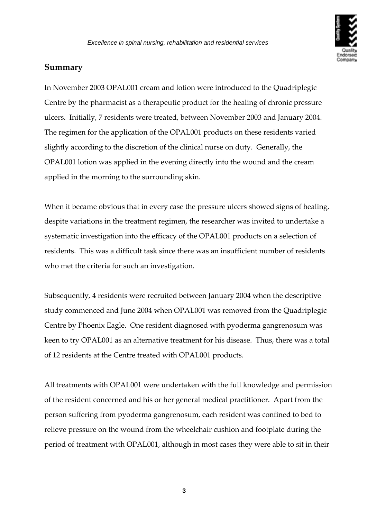

### <span id="page-2-0"></span>**Summary**

In November 2003 OPAL001 cream and lotion were introduced to the Quadriplegic Centre by the pharmacist as a therapeutic product for the healing of chronic pressure ulcers. Initially, 7 residents were treated, between November 2003 and January 2004. The regimen for the application of the OPAL001 products on these residents varied slightly according to the discretion of the clinical nurse on duty. Generally, the OPAL001 lotion was applied in the evening directly into the wound and the cream applied in the morning to the surrounding skin.

When it became obvious that in every case the pressure ulcers showed signs of healing, despite variations in the treatment regimen, the researcher was invited to undertake a systematic investigation into the efficacy of the OPAL001 products on a selection of residents. This was a difficult task since there was an insufficient number of residents who met the criteria for such an investigation.

Subsequently, 4 residents were recruited between January 2004 when the descriptive study commenced and June 2004 when OPAL001 was removed from the Quadriplegic Centre by Phoenix Eagle. One resident diagnosed with pyoderma gangrenosum was keen to try OPAL001 as an alternative treatment for his disease. Thus, there was a total of 12 residents at the Centre treated with OPAL001 products.

All treatments with OPAL001 were undertaken with the full knowledge and permission of the resident concerned and his or her general medical practitioner. Apart from the person suffering from pyoderma gangrenosum, each resident was confined to bed to relieve pressure on the wound from the wheelchair cushion and footplate during the period of treatment with OPAL001, although in most cases they were able to sit in their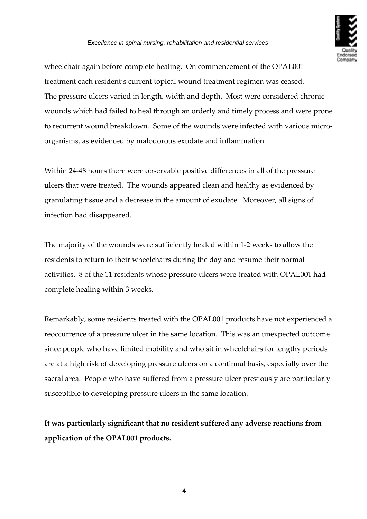

wheelchair again before complete healing. On commencement of the OPAL001 treatment each resident's current topical wound treatment regimen was ceased. The pressure ulcers varied in length, width and depth. Most were considered chronic wounds which had failed to heal through an orderly and timely process and were prone to recurrent wound breakdown. Some of the wounds were infected with various micro‐ organisms, as evidenced by malodorous exudate and inflammation.

Within 24-48 hours there were observable positive differences in all of the pressure ulcers that were treated. The wounds appeared clean and healthy as evidenced by granulating tissue and a decrease in the amount of exudate. Moreover, all signs of infection had disappeared.

The majority of the wounds were sufficiently healed within 1‐2 weeks to allow the residents to return to their wheelchairs during the day and resume their normal activities. 8 of the 11 residents whose pressure ulcers were treated with OPAL001 had complete healing within 3 weeks.

Remarkably, some residents treated with the OPAL001 products have not experienced a reoccurrence of a pressure ulcer in the same location. This was an unexpected outcome since people who have limited mobility and who sit in wheelchairs for lengthy periods are at a high risk of developing pressure ulcers on a continual basis, especially over the sacral area. People who have suffered from a pressure ulcer previously are particularly susceptible to developing pressure ulcers in the same location.

**It was particularly significant that no resident suffered any adverse reactions from application of the OPAL001 products.**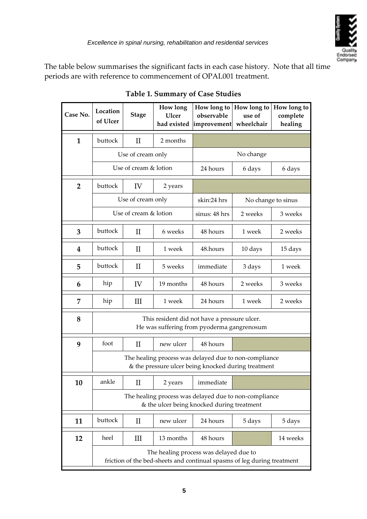

The table below summarises the significant facts in each case history. Note that all time periods are with reference to commencement of OPAL001 treatment.

| Case No.         | Location<br>of Ulcer                                                                                              | <b>Stage</b>      | How long<br><b>Ulcer</b><br>had existed | How long to<br>observable<br>improvement | How long to<br>use of<br>wheelchair | How long to<br>complete<br>healing |
|------------------|-------------------------------------------------------------------------------------------------------------------|-------------------|-----------------------------------------|------------------------------------------|-------------------------------------|------------------------------------|
| $\mathbf{1}$     | buttock                                                                                                           | $\mathbf{I}$      | 2 months                                |                                          |                                     |                                    |
|                  |                                                                                                                   | Use of cream only |                                         | No change                                |                                     |                                    |
|                  | Use of cream & lotion                                                                                             |                   | 24 hours                                | 6 days                                   | 6 days                              |                                    |
| $\overline{2}$   | buttock                                                                                                           | IV                | 2 years                                 |                                          |                                     |                                    |
|                  | Use of cream only                                                                                                 |                   | skin:24 hrs                             |                                          | No change to sinus                  |                                    |
|                  | Use of cream & lotion                                                                                             |                   | sinus: 48 hrs                           | 2 weeks                                  | 3 weeks                             |                                    |
| 3                | buttock                                                                                                           | П                 | 6 weeks                                 | 48 hours                                 | 1 week                              | 2 weeks                            |
| $\boldsymbol{4}$ | buttock                                                                                                           | $\mathbf{I}$      | 1 week                                  | 48.hours                                 | 10 days                             | 15 days                            |
| 5                | buttock                                                                                                           | $\rm II$          | 5 weeks                                 | immediate                                | 3 days                              | 1 week                             |
| 6                | hip                                                                                                               | IV                | 19 months                               | 48 hours                                 | 2 weeks                             | 3 weeks                            |
| 7                | hip                                                                                                               | III               | 1 week                                  | 24 hours                                 | 1 week                              | 2 weeks                            |
| 8                | This resident did not have a pressure ulcer.<br>He was suffering from pyoderma gangrenosum                        |                   |                                         |                                          |                                     |                                    |
| 9                | foot                                                                                                              | $\rm II$          | new ulcer                               | 48 hours                                 |                                     |                                    |
|                  | The healing process was delayed due to non-compliance<br>& the pressure ulcer being knocked during treatment      |                   |                                         |                                          |                                     |                                    |
| 10               | ankle                                                                                                             | $_{\rm II}$       | 2 years                                 | immediate                                |                                     |                                    |
|                  | The healing process was delayed due to non-compliance<br>& the ulcer being knocked during treatment               |                   |                                         |                                          |                                     |                                    |
| 11               | buttock                                                                                                           | $\rm II$          | new ulcer                               | 24 hours                                 | 5 days                              | 5 days                             |
| 12               | heel                                                                                                              | Ш                 | 13 months                               | 48 hours                                 |                                     | 14 weeks                           |
|                  | The healing process was delayed due to<br>friction of the bed-sheets and continual spasms of leg during treatment |                   |                                         |                                          |                                     |                                    |

### **Table 1. Summary of Case Studies**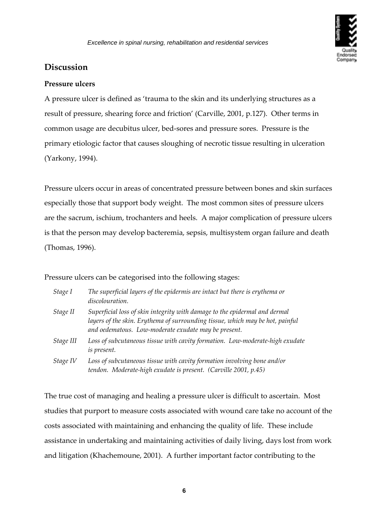

### <span id="page-5-0"></span>**Discussion**

#### **Pressure ulcers**

A pressure ulcer is defined as 'trauma to the skin and its underlying structures as a result of pressure, shearing force and friction' (Carville, 2001, p.127). Other terms in common usage are decubitus ulcer, bed‐sores and pressure sores. Pressure is the primary etiologic factor that causes sloughing of necrotic tissue resulting in ulceration (Yarkony, 1994).

Pressure ulcers occur in areas of concentrated pressure between bones and skin surfaces especially those that support body weight. The most common sites of pressure ulcers are the sacrum, ischium, trochanters and heels. A major complication of pressure ulcers is that the person may develop bacteremia, sepsis, multisystem organ failure and death (Thomas, 1996).

Pressure ulcers can be categorised into the following stages:

| Stage I   | The superficial layers of the epidermis are intact but there is erythema or<br>discolouration.                                                                                                                      |
|-----------|---------------------------------------------------------------------------------------------------------------------------------------------------------------------------------------------------------------------|
| Stage II  | Superficial loss of skin integrity with damage to the epidermal and dermal<br>layers of the skin. Erythema of surrounding tissue, which may be hot, painful<br>and oedematous. Low-moderate exudate may be present. |
| Stage III | Loss of subcutaneous tissue with cavity formation. Low-moderate-high exudate<br>is present.                                                                                                                         |
| Stage IV  | Loss of subcutaneous tissue with cavity formation involving bone and/or<br>tendon. Moderate-high exudate is present. (Carville 2001, p.45)                                                                          |

The true cost of managing and healing a pressure ulcer is difficult to ascertain. Most studies that purport to measure costs associated with wound care take no account of the costs associated with maintaining and enhancing the quality of life. These include assistance in undertaking and maintaining activities of daily living, days lost from work and litigation (Khachemoune, 2001). A further important factor contributing to the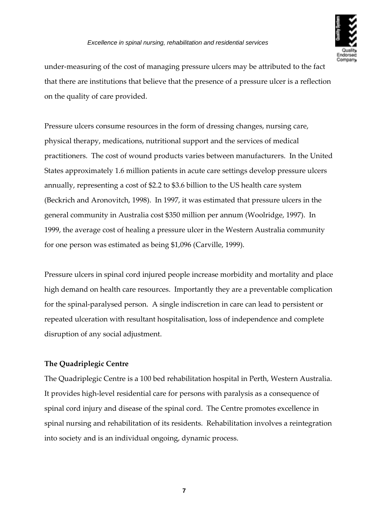

<span id="page-6-0"></span>under‐measuring of the cost of managing pressure ulcers may be attributed to the fact that there are institutions that believe that the presence of a pressure ulcer is a reflection on the quality of care provided.

Pressure ulcers consume resources in the form of dressing changes, nursing care, physical therapy, medications, nutritional support and the services of medical practitioners. The cost of wound products varies between manufacturers. In the United States approximately 1.6 million patients in acute care settings develop pressure ulcers annually, representing a cost of \$2.2 to \$3.6 billion to the US health care system (Beckrich and Aronovitch, 1998). In 1997, it was estimated that pressure ulcers in the general community in Australia cost \$350 million per annum (Woolridge, 1997). In 1999, the average cost of healing a pressure ulcer in the Western Australia community for one person was estimated as being \$1,096 (Carville, 1999).

Pressure ulcers in spinal cord injured people increase morbidity and mortality and place high demand on health care resources. Importantly they are a preventable complication for the spinal‐paralysed person. A single indiscretion in care can lead to persistent or repeated ulceration with resultant hospitalisation, loss of independence and complete disruption of any social adjustment.

### **The Quadriplegic Centre**

The Quadriplegic Centre is a 100 bed rehabilitation hospital in Perth, Western Australia. It provides high-level residential care for persons with paralysis as a consequence of spinal cord injury and disease of the spinal cord. The Centre promotes excellence in spinal nursing and rehabilitation of its residents. Rehabilitation involves a reintegration into society and is an individual ongoing, dynamic process.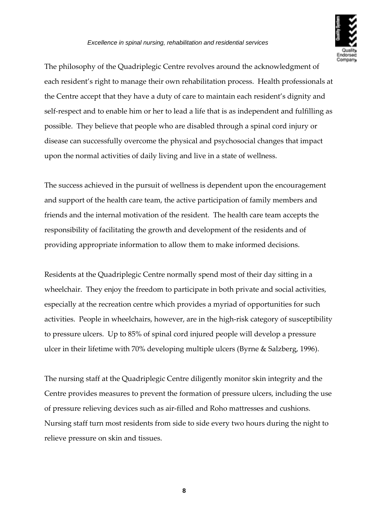

The philosophy of the Quadriplegic Centre revolves around the acknowledgment of each resident's right to manage their own rehabilitation process. Health professionals at the Centre accept that they have a duty of care to maintain each resident's dignity and self-respect and to enable him or her to lead a life that is as independent and fulfilling as possible. They believe that people who are disabled through a spinal cord injury or disease can successfully overcome the physical and psychosocial changes that impact upon the normal activities of daily living and live in a state of wellness.

The success achieved in the pursuit of wellness is dependent upon the encouragement and support of the health care team, the active participation of family members and friends and the internal motivation of the resident. The health care team accepts the responsibility of facilitating the growth and development of the residents and of providing appropriate information to allow them to make informed decisions.

Residents at the Quadriplegic Centre normally spend most of their day sitting in a wheelchair. They enjoy the freedom to participate in both private and social activities, especially at the recreation centre which provides a myriad of opportunities for such activities. People in wheelchairs, however, are in the high‐risk category of susceptibility to pressure ulcers. Up to 85% of spinal cord injured people will develop a pressure ulcer in their lifetime with 70% developing multiple ulcers (Byrne & Salzberg, 1996).

The nursing staff at the Quadriplegic Centre diligently monitor skin integrity and the Centre provides measures to prevent the formation of pressure ulcers, including the use of pressure relieving devices such as air‐filled and Roho mattresses and cushions. Nursing staff turn most residents from side to side every two hours during the night to relieve pressure on skin and tissues.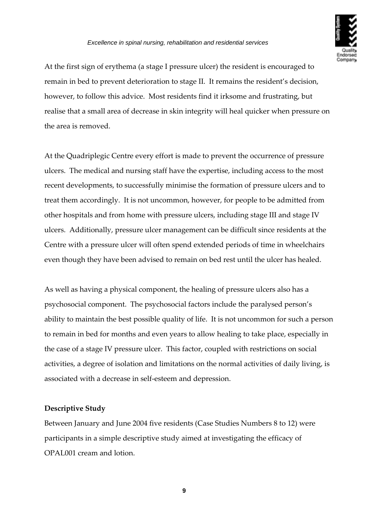

<span id="page-8-1"></span><span id="page-8-0"></span>At the first sign of erythema (a stage I pressure ulcer) the resident is encouraged to remain in bed to prevent deterioration to stage II. It remains the resident's decision, however, to follow this advice. Most residents find it irksome and frustrating, but realise that a small area of decrease in skin integrity will heal quicker when pressure on the area is removed.

At the Quadriplegic Centre every effort is made to prevent the occurrence of pressure ulcers. The medical and nursing staff have the expertise, including access to the most recent developments, to successfully minimise the formation of pressure ulcers and to treat them accordingly. It is not uncommon, however, for people to be admitted from other hospitals and from home with pressure ulcers, including stage III and stage IV ulcers. Additionally, pressure ulcer management can be difficult since residents at the Centre with a pressure ulcer will often spend extended periods of time in wheelchairs even though they have been advised to remain on bed rest until the ulcer has healed.

As well as having a physical component, the healing of pressure ulcers also has a psychosocial component. The psychosocial factors include the paralysed person's ability to maintain the best possible quality of life. It is not uncommon for such a person to remain in bed for months and even years to allow healing to take place, especially in the case of a stage IV pressure ulcer. This factor, coupled with restrictions on social activities, a degree of isolation and limitations on the normal activities of daily living, is associated with a decrease in self‐esteem and depression.

### **Descriptive Study**

Between January and June 2004 five residents (Case Studies Numbers 8 to 12) were participants in a simple descriptive study aimed at investigating the efficacy of OPAL001 cream and lotion.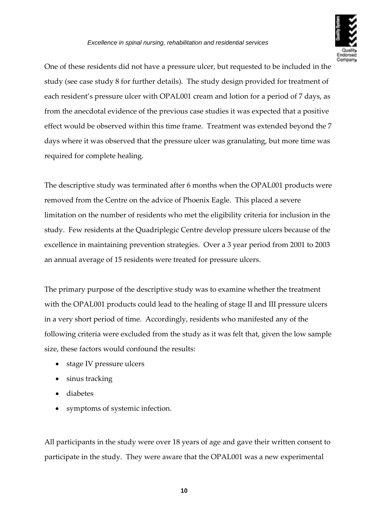

One of these residents did not have a pressure ulcer, but requested to be included in the study (see case study 8 for further details). The study design provided for treatment of each resident's pressure ulcer with OPAL001 cream and lotion for a period of 7 days, as from the anecdotal evidence of the previous case studies it was expected that a positive effect would be observed within this time frame. Treatment was extended beyond the 7 days where it was observed that the pressure ulcer was granulating, but more time was required for complete healing.

The descriptive study was terminated after 6 months when the OPAL001 products were removed from the Centre on the advice of Phoenix Eagle. This placed a severe limitation on the number of residents who met the eligibility criteria for inclusion in the study. Few residents at the Quadriplegic Centre develop pressure ulcers because of the excellence in maintaining prevention strategies. Over a 3 year period from 2001 to 2003 an annual average of 15 residents were treated for pressure ulcers.

The primary purpose of the descriptive study was to examine whether the treatment with the OPAL001 products could lead to the healing of stage II and III pressure ulcers in a very short period of time. Accordingly, residents who manifested any of the following criteria were excluded from the study as it was felt that, given the low sample size, these factors would confound the results:

- stage IV pressure ulcers
- sinus tracking
- diabetes
- symptoms of systemic infection.

All participants in the study were over 18 years of age and gave their written consent to participate in the study. They were aware that the OPAL001 was a new experimental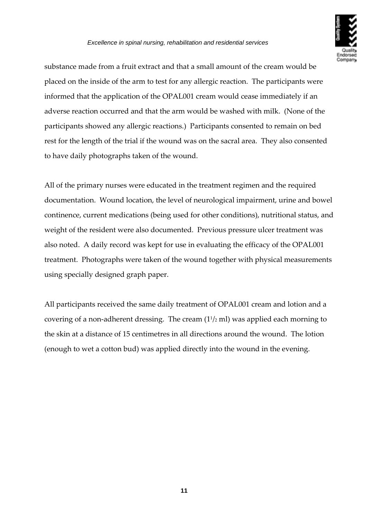

substance made from a fruit extract and that a small amount of the cream would be placed on the inside of the arm to test for any allergic reaction. The participants were informed that the application of the OPAL001 cream would cease immediately if an adverse reaction occurred and that the arm would be washed with milk. (None of the participants showed any allergic reactions.) Participants consented to remain on bed rest for the length of the trial if the wound was on the sacral area. They also consented to have daily photographs taken of the wound.

All of the primary nurses were educated in the treatment regimen and the required documentation. Wound location, the level of neurological impairment, urine and bowel continence, current medications (being used for other conditions), nutritional status, and weight of the resident were also documented. Previous pressure ulcer treatment was also noted. A daily record was kept for use in evaluating the efficacy of the OPAL001 treatment. Photographs were taken of the wound together with physical measurements using specially designed graph paper.

All participants received the same daily treatment of OPAL001 cream and lotion and a covering of a non-adherent dressing. The cream  $(1<sup>1</sup>/2$  ml) was applied each morning to the skin at a distance of 15 centimetres in all directions around the wound. The lotion (enough to wet a cotton bud) was applied directly into the wound in the evening.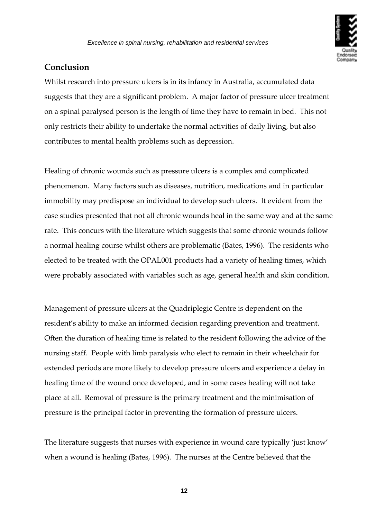

### <span id="page-11-0"></span>**Conclusion**

Whilst research into pressure ulcers is in its infancy in Australia, accumulated data suggests that they are a significant problem. A major factor of pressure ulcer treatment on a spinal paralysed person is the length of time they have to remain in bed. This not only restricts their ability to undertake the normal activities of daily living, but also contributes to mental health problems such as depression.

Healing of chronic wounds such as pressure ulcers is a complex and complicated phenomenon. Many factors such as diseases, nutrition, medications and in particular immobility may predispose an individual to develop such ulcers. It evident from the case studies presented that not all chronic wounds heal in the same way and at the same rate. This concurs with the literature which suggests that some chronic wounds follow a normal healing course whilst others are problematic (Bates, 1996). The residents who elected to be treated with the OPAL001 products had a variety of healing times, which were probably associated with variables such as age, general health and skin condition.

Management of pressure ulcers at the Quadriplegic Centre is dependent on the resident's ability to make an informed decision regarding prevention and treatment. Often the duration of healing time is related to the resident following the advice of the nursing staff. People with limb paralysis who elect to remain in their wheelchair for extended periods are more likely to develop pressure ulcers and experience a delay in healing time of the wound once developed, and in some cases healing will not take place at all. Removal of pressure is the primary treatment and the minimisation of pressure is the principal factor in preventing the formation of pressure ulcers.

The literature suggests that nurses with experience in wound care typically 'just know' when a wound is healing (Bates, 1996). The nurses at the Centre believed that the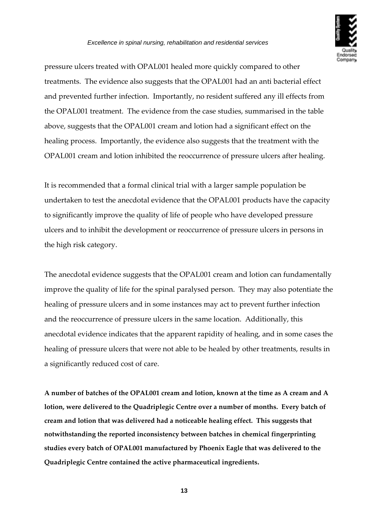

pressure ulcers treated with OPAL001 healed more quickly compared to other treatments. The evidence also suggests that the OPAL001 had an anti bacterial effect and prevented further infection. Importantly, no resident suffered any ill effects from the OPAL001 treatment. The evidence from the case studies, summarised in the table above, suggests that the OPAL001 cream and lotion had a significant effect on the healing process. Importantly, the evidence also suggests that the treatment with the OPAL001 cream and lotion inhibited the reoccurrence of pressure ulcers after healing.

It is recommended that a formal clinical trial with a larger sample population be undertaken to test the anecdotal evidence that the OPAL001 products have the capacity to significantly improve the quality of life of people who have developed pressure ulcers and to inhibit the development or reoccurrence of pressure ulcers in persons in the high risk category.

The anecdotal evidence suggests that the OPAL001 cream and lotion can fundamentally improve the quality of life for the spinal paralysed person. They may also potentiate the healing of pressure ulcers and in some instances may act to prevent further infection and the reoccurrence of pressure ulcers in the same location. Additionally, this anecdotal evidence indicates that the apparent rapidity of healing, and in some cases the healing of pressure ulcers that were not able to be healed by other treatments, results in a significantly reduced cost of care.

**A number of batches of the OPAL001 cream and lotion, known at the time as A cream and A lotion, were delivered to the Quadriplegic Centre over a number of months. Every batch of cream and lotion that was delivered had a noticeable healing effect. This suggests that notwithstanding the reported inconsistency between batches in chemical fingerprinting studies every batch of OPAL001 manufactured by Phoenix Eagle that was delivered to the Quadriplegic Centre contained the active pharmaceutical ingredients.**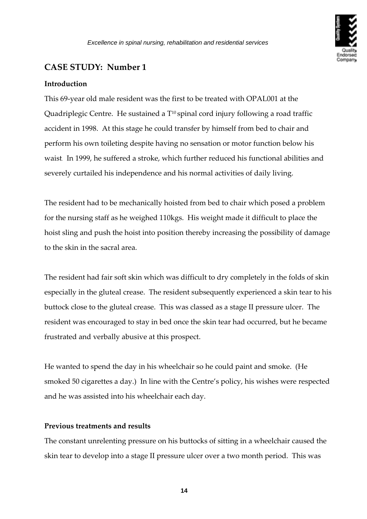

#### <span id="page-13-0"></span>**Introduction**

This 69‐year old male resident was the first to be treated with OPAL001 at the Quadriplegic Centre. He sustained a T<sup>10</sup> spinal cord injury following a road traffic accident in 1998. At this stage he could transfer by himself from bed to chair and perform his own toileting despite having no sensation or motor function below his waist. In 1999, he suffered a stroke, which further reduced his functional abilities and severely curtailed his independence and his normal activities of daily living.

The resident had to be mechanically hoisted from bed to chair which posed a problem for the nursing staff as he weighed 110kgs. His weight made it difficult to place the hoist sling and push the hoist into position thereby increasing the possibility of damage to the skin in the sacral area.

The resident had fair soft skin which was difficult to dry completely in the folds of skin especially in the gluteal crease. The resident subsequently experienced a skin tear to his buttock close to the gluteal crease. This was classed as a stage II pressure ulcer. The resident was encouraged to stay in bed once the skin tear had occurred, but he became frustrated and verbally abusive at this prospect.

He wanted to spend the day in his wheelchair so he could paint and smoke. (He smoked 50 cigarettes a day.) In line with the Centre's policy, his wishes were respected and he was assisted into his wheelchair each day.

#### **Previous treatments and results**

The constant unrelenting pressure on his buttocks of sitting in a wheelchair caused the skin tear to develop into a stage II pressure ulcer over a two month period. This was

**14**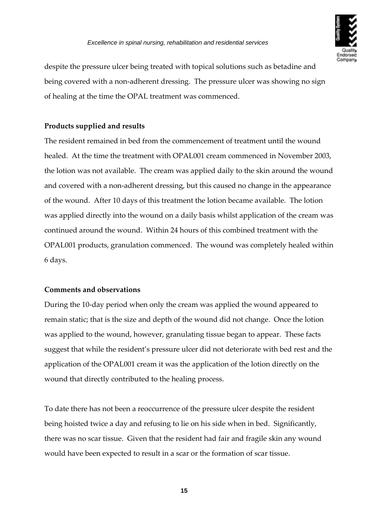

despite the pressure ulcer being treated with topical solutions such as betadine and being covered with a non-adherent dressing. The pressure ulcer was showing no sign of healing at the time the OPAL treatment was commenced.

#### **Products supplied and results**

The resident remained in bed from the commencement of treatment until the wound healed. At the time the treatment with OPAL001 cream commenced in November 2003, the lotion was not available. The cream was applied daily to the skin around the wound and covered with a non-adherent dressing, but this caused no change in the appearance of the wound. After 10 days of this treatment the lotion became available. The lotion was applied directly into the wound on a daily basis whilst application of the cream was continued around the wound. Within 24 hours of this combined treatment with the OPAL001 products, granulation commenced. The wound was completely healed within 6 days.

#### **Comments and observations**

During the 10‐day period when only the cream was applied the wound appeared to remain static; that is the size and depth of the wound did not change. Once the lotion was applied to the wound, however, granulating tissue began to appear. These facts suggest that while the resident's pressure ulcer did not deteriorate with bed rest and the application of the OPAL001 cream it was the application of the lotion directly on the wound that directly contributed to the healing process.

To date there has not been a reoccurrence of the pressure ulcer despite the resident being hoisted twice a day and refusing to lie on his side when in bed. Significantly, there was no scar tissue. Given that the resident had fair and fragile skin any wound would have been expected to result in a scar or the formation of scar tissue.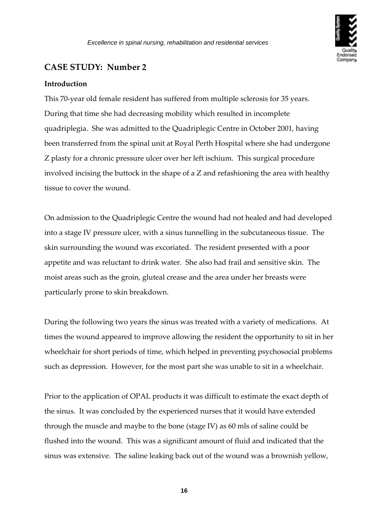

#### <span id="page-15-0"></span>**Introduction**

This 70‐year old female resident has suffered from multiple sclerosis for 35 years. During that time she had decreasing mobility which resulted in incomplete quadriplegia. She was admitted to the Quadriplegic Centre in October 2001, having been transferred from the spinal unit at Royal Perth Hospital where she had undergone Z plasty for a chronic pressure ulcer over her left ischium. This surgical procedure involved incising the buttock in the shape of a Z and refashioning the area with healthy tissue to cover the wound.

On admission to the Quadriplegic Centre the wound had not healed and had developed into a stage IV pressure ulcer, with a sinus tunnelling in the subcutaneous tissue. The skin surrounding the wound was excoriated. The resident presented with a poor appetite and was reluctant to drink water. She also had frail and sensitive skin. The moist areas such as the groin, gluteal crease and the area under her breasts were particularly prone to skin breakdown.

During the following two years the sinus was treated with a variety of medications. At times the wound appeared to improve allowing the resident the opportunity to sit in her wheelchair for short periods of time, which helped in preventing psychosocial problems such as depression. However, for the most part she was unable to sit in a wheelchair.

Prior to the application of OPAL products it was difficult to estimate the exact depth of the sinus. It was concluded by the experienced nurses that it would have extended through the muscle and maybe to the bone (stage IV) as 60 mls of saline could be flushed into the wound. This was a significant amount of fluid and indicated that the sinus was extensive. The saline leaking back out of the wound was a brownish yellow,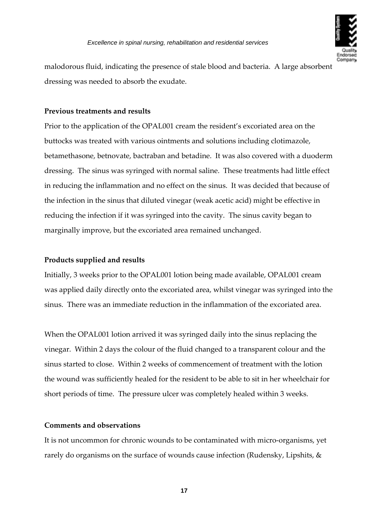

malodorous fluid, indicating the presence of stale blood and bacteria. A large absorbent dressing was needed to absorb the exudate.

#### **Previous treatments and results**

Prior to the application of the OPAL001 cream the resident's excoriated area on the buttocks was treated with various ointments and solutions including clotimazole, betamethasone, betnovate, bactraban and betadine. It was also covered with a duoderm dressing. The sinus was syringed with normal saline. These treatments had little effect in reducing the inflammation and no effect on the sinus. It was decided that because of the infection in the sinus that diluted vinegar (weak acetic acid) might be effective in reducing the infection if it was syringed into the cavity. The sinus cavity began to marginally improve, but the excoriated area remained unchanged.

#### **Products supplied and results**

Initially, 3 weeks prior to the OPAL001 lotion being made available, OPAL001 cream was applied daily directly onto the excoriated area, whilst vinegar was syringed into the sinus. There was an immediate reduction in the inflammation of the excoriated area.

When the OPAL001 lotion arrived it was syringed daily into the sinus replacing the vinegar. Within 2 days the colour of the fluid changed to a transparent colour and the sinus started to close. Within 2 weeks of commencement of treatment with the lotion the wound was sufficiently healed for the resident to be able to sit in her wheelchair for short periods of time. The pressure ulcer was completely healed within 3 weeks.

#### **Comments and observations**

It is not uncommon for chronic wounds to be contaminated with micro-organisms, yet rarely do organisms on the surface of wounds cause infection (Rudensky, Lipshits, &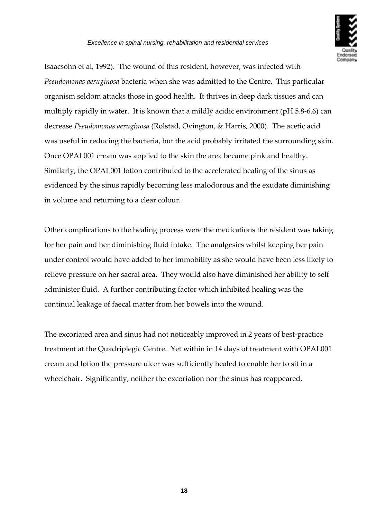

Isaacsohn et al, 1992). The wound of this resident, however, was infected with *Pseudomonas aeruginosa* bacteria when she was admitted to the Centre. This particular organism seldom attacks those in good health. It thrives in deep dark tissues and can multiply rapidly in water. It is known that a mildly acidic environment (pH 5.8‐6.6) can decrease *Pseudomonas aeruginosa* (Rolstad, Ovington, & Harris, 2000). The acetic acid was useful in reducing the bacteria, but the acid probably irritated the surrounding skin. Once OPAL001 cream was applied to the skin the area became pink and healthy. Similarly, the OPAL001 lotion contributed to the accelerated healing of the sinus as evidenced by the sinus rapidly becoming less malodorous and the exudate diminishing in volume and returning to a clear colour.

Other complications to the healing process were the medications the resident was taking for her pain and her diminishing fluid intake. The analgesics whilst keeping her pain under control would have added to her immobility as she would have been less likely to relieve pressure on her sacral area. They would also have diminished her ability to self administer fluid. A further contributing factor which inhibited healing was the continual leakage of faecal matter from her bowels into the wound.

The excoriated area and sinus had not noticeably improved in 2 years of best-practice treatment at the Quadriplegic Centre. Yet within in 14 days of treatment with OPAL001 cream and lotion the pressure ulcer was sufficiently healed to enable her to sit in a wheelchair. Significantly, neither the excoriation nor the sinus has reappeared.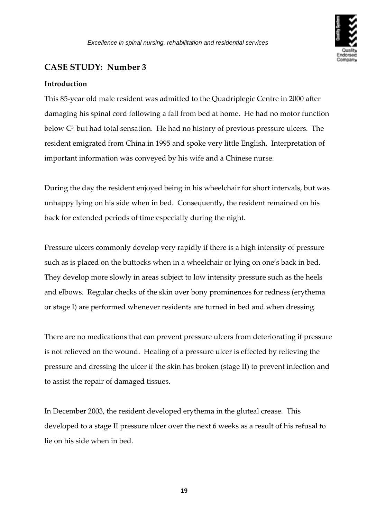

#### <span id="page-18-0"></span>**Introduction**

This 85‐year old male resident was admitted to the Quadriplegic Centre in 2000 after damaging his spinal cord following a fall from bed at home. He had no motor function below  $C^5$ , but had total sensation. He had no history of previous pressure ulcers. The resident emigrated from China in 1995 and spoke very little English. Interpretation of important information was conveyed by his wife and a Chinese nurse.

During the day the resident enjoyed being in his wheelchair for short intervals, but was unhappy lying on his side when in bed. Consequently, the resident remained on his back for extended periods of time especially during the night.

Pressure ulcers commonly develop very rapidly if there is a high intensity of pressure such as is placed on the buttocks when in a wheelchair or lying on one's back in bed. They develop more slowly in areas subject to low intensity pressure such as the heels and elbows. Regular checks of the skin over bony prominences for redness (erythema or stage I) are performed whenever residents are turned in bed and when dressing.

There are no medications that can prevent pressure ulcers from deteriorating if pressure is not relieved on the wound. Healing of a pressure ulcer is effected by relieving the pressure and dressing the ulcer if the skin has broken (stage II) to prevent infection and to assist the repair of damaged tissues.

In December 2003, the resident developed erythema in the gluteal crease. This developed to a stage II pressure ulcer over the next 6 weeks as a result of his refusal to lie on his side when in bed.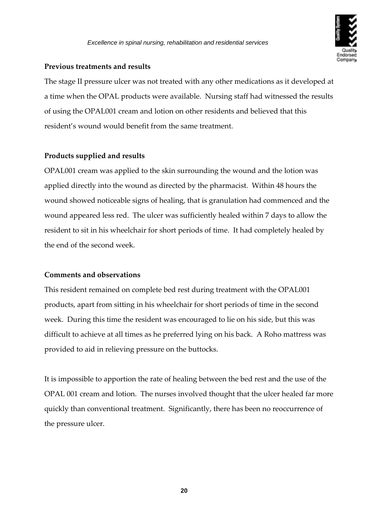

#### **Previous treatments and results**

The stage II pressure ulcer was not treated with any other medications as it developed at a time when the OPAL products were available. Nursing staff had witnessed the results of using the OPAL001 cream and lotion on other residents and believed that this resident's wound would benefit from the same treatment.

#### **Products supplied and results**

OPAL001 cream was applied to the skin surrounding the wound and the lotion was applied directly into the wound as directed by the pharmacist. Within 48 hours the wound showed noticeable signs of healing, that is granulation had commenced and the wound appeared less red. The ulcer was sufficiently healed within 7 days to allow the resident to sit in his wheelchair for short periods of time. It had completely healed by the end of the second week.

#### **Comments and observations**

This resident remained on complete bed rest during treatment with the OPAL001 products, apart from sitting in his wheelchair for short periods of time in the second week. During this time the resident was encouraged to lie on his side, but this was difficult to achieve at all times as he preferred lying on his back. A Roho mattress was provided to aid in relieving pressure on the buttocks.

It is impossible to apportion the rate of healing between the bed rest and the use of the OPAL 001 cream and lotion. The nurses involved thought that the ulcer healed far more quickly than conventional treatment. Significantly, there has been no reoccurrence of the pressure ulcer.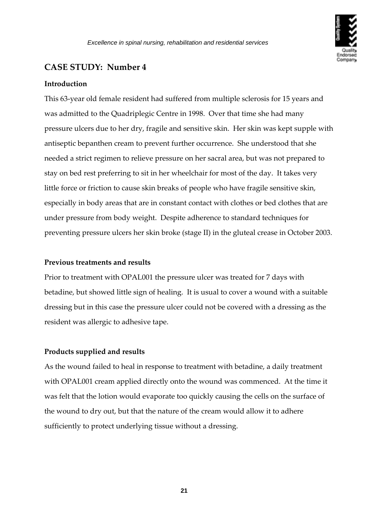

#### <span id="page-20-0"></span>**Introduction**

This 63‐year old female resident had suffered from multiple sclerosis for 15 years and was admitted to the Quadriplegic Centre in 1998. Over that time she had many pressure ulcers due to her dry, fragile and sensitive skin. Her skin was kept supple with antiseptic bepanthen cream to prevent further occurrence. She understood that she needed a strict regimen to relieve pressure on her sacral area, but was not prepared to stay on bed rest preferring to sit in her wheelchair for most of the day. It takes very little force or friction to cause skin breaks of people who have fragile sensitive skin, especially in body areas that are in constant contact with clothes or bed clothes that are under pressure from body weight. Despite adherence to standard techniques for preventing pressure ulcers her skin broke (stage II) in the gluteal crease in October 2003.

#### **Previous treatments and results**

Prior to treatment with OPAL001 the pressure ulcer was treated for 7 days with betadine, but showed little sign of healing. It is usual to cover a wound with a suitable dressing but in this case the pressure ulcer could not be covered with a dressing as the resident was allergic to adhesive tape.

#### **Products supplied and results**

As the wound failed to heal in response to treatment with betadine, a daily treatment with OPAL001 cream applied directly onto the wound was commenced. At the time it was felt that the lotion would evaporate too quickly causing the cells on the surface of the wound to dry out, but that the nature of the cream would allow it to adhere sufficiently to protect underlying tissue without a dressing.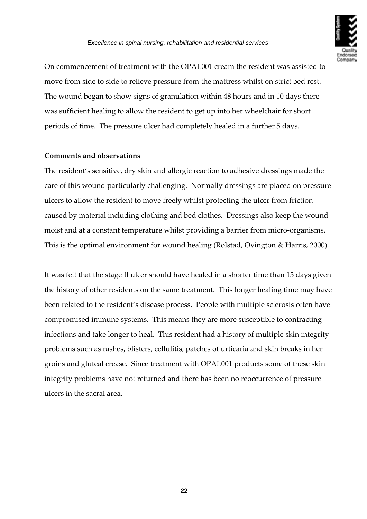

On commencement of treatment with the OPAL001 cream the resident was assisted to move from side to side to relieve pressure from the mattress whilst on strict bed rest. The wound began to show signs of granulation within 48 hours and in 10 days there was sufficient healing to allow the resident to get up into her wheelchair for short periods of time. The pressure ulcer had completely healed in a further 5 days.

#### **Comments and observations**

The resident's sensitive, dry skin and allergic reaction to adhesive dressings made the care of this wound particularly challenging. Normally dressings are placed on pressure ulcers to allow the resident to move freely whilst protecting the ulcer from friction caused by material including clothing and bed clothes. Dressings also keep the wound moist and at a constant temperature whilst providing a barrier from micro‐organisms. This is the optimal environment for wound healing (Rolstad, Ovington & Harris, 2000).

It was felt that the stage II ulcer should have healed in a shorter time than 15 days given the history of other residents on the same treatment. This longer healing time may have been related to the resident's disease process. People with multiple sclerosis often have compromised immune systems. This means they are more susceptible to contracting infections and take longer to heal. This resident had a history of multiple skin integrity problems such as rashes, blisters, cellulitis, patches of urticaria and skin breaks in her groins and gluteal crease. Since treatment with OPAL001 products some of these skin integrity problems have not returned and there has been no reoccurrence of pressure ulcers in the sacral area.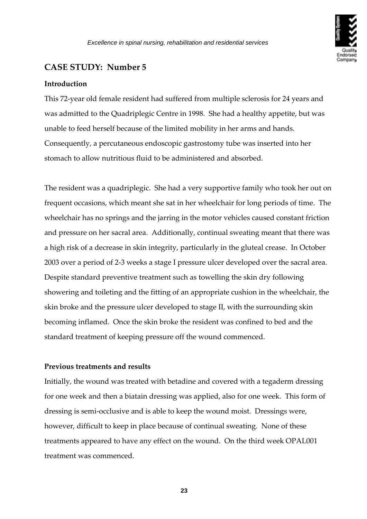

#### <span id="page-22-0"></span>**Introduction**

This 72‐year old female resident had suffered from multiple sclerosis for 24 years and was admitted to the Quadriplegic Centre in 1998. She had a healthy appetite, but was unable to feed herself because of the limited mobility in her arms and hands. Consequently, a percutaneous endoscopic gastrostomy tube was inserted into her stomach to allow nutritious fluid to be administered and absorbed.

The resident was a quadriplegic. She had a very supportive family who took her out on frequent occasions, which meant she sat in her wheelchair for long periods of time. The wheelchair has no springs and the jarring in the motor vehicles caused constant friction and pressure on her sacral area. Additionally, continual sweating meant that there was a high risk of a decrease in skin integrity, particularly in the gluteal crease. In October 2003 over a period of 2‐3 weeks a stage I pressure ulcer developed over the sacral area. Despite standard preventive treatment such as towelling the skin dry following showering and toileting and the fitting of an appropriate cushion in the wheelchair, the skin broke and the pressure ulcer developed to stage II, with the surrounding skin becoming inflamed. Once the skin broke the resident was confined to bed and the standard treatment of keeping pressure off the wound commenced.

#### **Previous treatments and results**

Initially, the wound was treated with betadine and covered with a tegaderm dressing for one week and then a biatain dressing was applied, also for one week. This form of dressing is semi‐occlusive and is able to keep the wound moist. Dressings were, however, difficult to keep in place because of continual sweating. None of these treatments appeared to have any effect on the wound. On the third week OPAL001 treatment was commenced.

**23**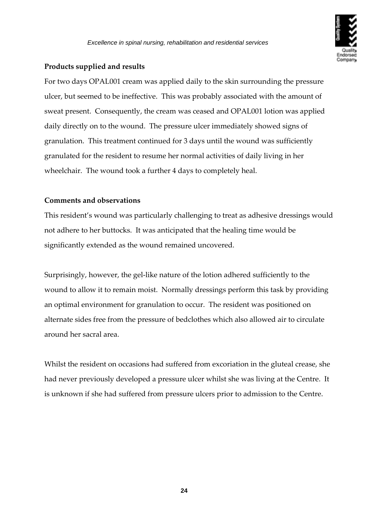

#### **Products supplied and results**

For two days OPAL001 cream was applied daily to the skin surrounding the pressure ulcer, but seemed to be ineffective. This was probably associated with the amount of sweat present. Consequently, the cream was ceased and OPAL001 lotion was applied daily directly on to the wound. The pressure ulcer immediately showed signs of granulation. This treatment continued for 3 days until the wound was sufficiently granulated for the resident to resume her normal activities of daily living in her wheelchair. The wound took a further 4 days to completely heal.

#### **Comments and observations**

This resident's wound was particularly challenging to treat as adhesive dressings would not adhere to her buttocks. It was anticipated that the healing time would be significantly extended as the wound remained uncovered.

Surprisingly, however, the gel-like nature of the lotion adhered sufficiently to the wound to allow it to remain moist. Normally dressings perform this task by providing an optimal environment for granulation to occur. The resident was positioned on alternate sides free from the pressure of bedclothes which also allowed air to circulate around her sacral area.

Whilst the resident on occasions had suffered from excoriation in the gluteal crease, she had never previously developed a pressure ulcer whilst she was living at the Centre. It is unknown if she had suffered from pressure ulcers prior to admission to the Centre.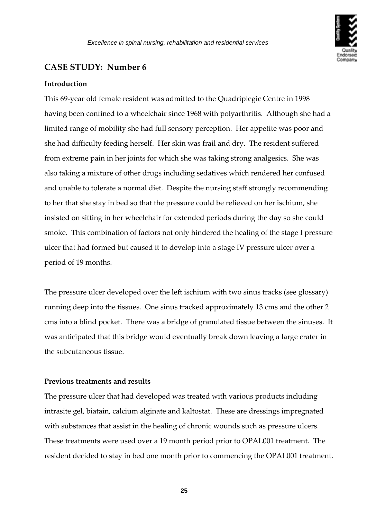

#### <span id="page-24-0"></span>**Introduction**

This 69‐year old female resident was admitted to the Quadriplegic Centre in 1998 having been confined to a wheelchair since 1968 with polyarthritis. Although she had a limited range of mobility she had full sensory perception. Her appetite was poor and she had difficulty feeding herself. Her skin was frail and dry. The resident suffered from extreme pain in her joints for which she was taking strong analgesics. She was also taking a mixture of other drugs including sedatives which rendered her confused and unable to tolerate a normal diet. Despite the nursing staff strongly recommending to her that she stay in bed so that the pressure could be relieved on her ischium, she insisted on sitting in her wheelchair for extended periods during the day so she could smoke. This combination of factors not only hindered the healing of the stage I pressure ulcer that had formed but caused it to develop into a stage IV pressure ulcer over a period of 19 months.

The pressure ulcer developed over the left ischium with two sinus tracks (see glossary) running deep into the tissues. One sinus tracked approximately 13 cms and the other 2 cms into a blind pocket. There was a bridge of granulated tissue between the sinuses. It was anticipated that this bridge would eventually break down leaving a large crater in the subcutaneous tissue.

#### **Previous treatments and results**

The pressure ulcer that had developed was treated with various products including intrasite gel, biatain, calcium alginate and kaltostat. These are dressings impregnated with substances that assist in the healing of chronic wounds such as pressure ulcers. These treatments were used over a 19 month period prior to OPAL001 treatment. The resident decided to stay in bed one month prior to commencing the OPAL001 treatment.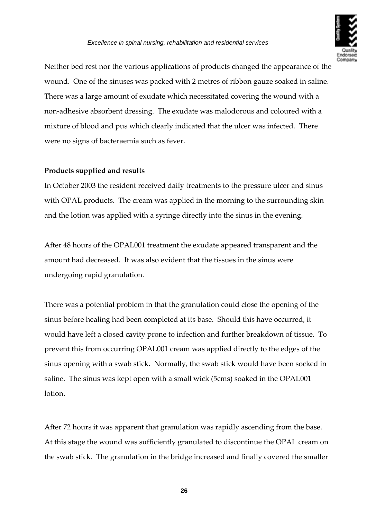Neither bed rest nor the various applications of products changed the appearance of the wound. One of the sinuses was packed with 2 metres of ribbon gauze soaked in saline. There was a large amount of exudate which necessitated covering the wound with a non‐adhesive absorbent dressing. The exudate was malodorous and coloured with a mixture of blood and pus which clearly indicated that the ulcer was infected. There were no signs of bacteraemia such as fever.

#### **Products supplied and results**

In October 2003 the resident received daily treatments to the pressure ulcer and sinus with OPAL products. The cream was applied in the morning to the surrounding skin and the lotion was applied with a syringe directly into the sinus in the evening.

After 48 hours of the OPAL001 treatment the exudate appeared transparent and the amount had decreased. It was also evident that the tissues in the sinus were undergoing rapid granulation.

There was a potential problem in that the granulation could close the opening of the sinus before healing had been completed at its base. Should this have occurred, it would have left a closed cavity prone to infection and further breakdown of tissue. To prevent this from occurring OPAL001 cream was applied directly to the edges of the sinus opening with a swab stick. Normally, the swab stick would have been socked in saline. The sinus was kept open with a small wick (5cms) soaked in the OPAL001 lotion.

After 72 hours it was apparent that granulation was rapidly ascending from the base. At this stage the wound was sufficiently granulated to discontinue the OPAL cream on the swab stick. The granulation in the bridge increased and finally covered the smaller

**26**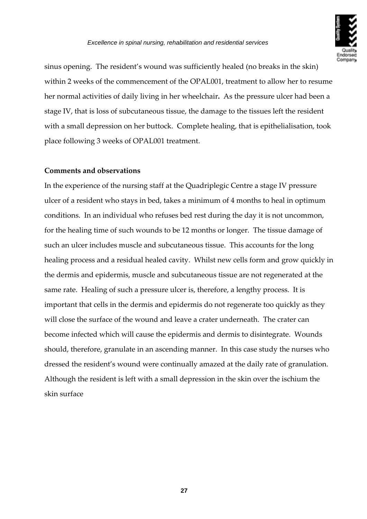

sinus opening. The resident's wound was sufficiently healed (no breaks in the skin) within 2 weeks of the commencement of the OPAL001, treatment to allow her to resume her normal activities of daily living in her wheelchair**.** As the pressure ulcer had been a stage IV, that is loss of subcutaneous tissue, the damage to the tissues left the resident with a small depression on her buttock. Complete healing, that is epithelialisation, took place following 3 weeks of OPAL001 treatment.

#### **Comments and observations**

In the experience of the nursing staff at the Quadriplegic Centre a stage IV pressure ulcer of a resident who stays in bed, takes a minimum of 4 months to heal in optimum conditions. In an individual who refuses bed rest during the day it is not uncommon, for the healing time of such wounds to be 12 months or longer. The tissue damage of such an ulcer includes muscle and subcutaneous tissue. This accounts for the long healing process and a residual healed cavity. Whilst new cells form and grow quickly in the dermis and epidermis, muscle and subcutaneous tissue are not regenerated at the same rate. Healing of such a pressure ulcer is, therefore, a lengthy process. It is important that cells in the dermis and epidermis do not regenerate too quickly as they will close the surface of the wound and leave a crater underneath. The crater can become infected which will cause the epidermis and dermis to disintegrate. Wounds should, therefore, granulate in an ascending manner. In this case study the nurses who dressed the resident's wound were continually amazed at the daily rate of granulation. Although the resident is left with a small depression in the skin over the ischium the skin surface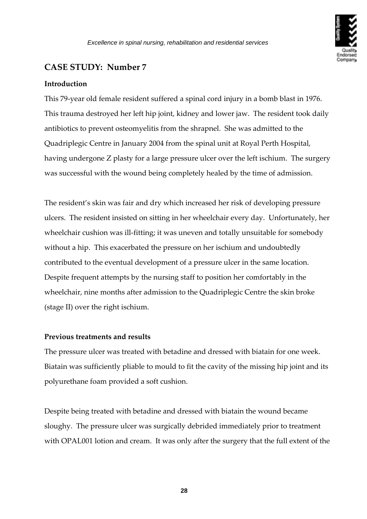

#### <span id="page-27-0"></span>**Introduction**

This 79‐year old female resident suffered a spinal cord injury in a bomb blast in 1976. This trauma destroyed her left hip joint, kidney and lower jaw. The resident took daily antibiotics to prevent osteomyelitis from the shrapnel. She was admitted to the Quadriplegic Centre in January 2004 from the spinal unit at Royal Perth Hospital, having undergone Z plasty for a large pressure ulcer over the left ischium. The surgery was successful with the wound being completely healed by the time of admission.

The resident's skin was fair and dry which increased her risk of developing pressure ulcers. The resident insisted on sitting in her wheelchair every day. Unfortunately, her wheelchair cushion was ill-fitting; it was uneven and totally unsuitable for somebody without a hip. This exacerbated the pressure on her ischium and undoubtedly contributed to the eventual development of a pressure ulcer in the same location. Despite frequent attempts by the nursing staff to position her comfortably in the wheelchair, nine months after admission to the Quadriplegic Centre the skin broke (stage II) over the right ischium.

#### **Previous treatments and results**

The pressure ulcer was treated with betadine and dressed with biatain for one week. Biatain was sufficiently pliable to mould to fit the cavity of the missing hip joint and its polyurethane foam provided a soft cushion.

Despite being treated with betadine and dressed with biatain the wound became sloughy. The pressure ulcer was surgically debrided immediately prior to treatment with OPAL001 lotion and cream. It was only after the surgery that the full extent of the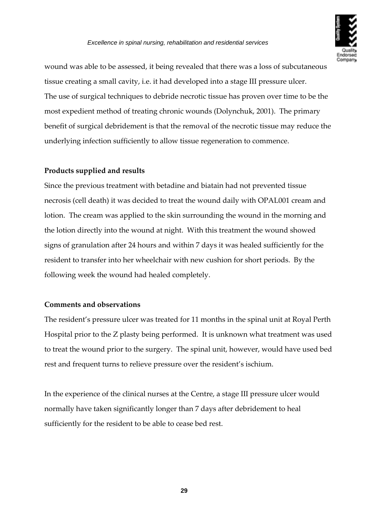wound was able to be assessed, it being revealed that there was a loss of subcutaneous tissue creating a small cavity, i.e. it had developed into a stage III pressure ulcer. The use of surgical techniques to debride necrotic tissue has proven over time to be the most expedient method of treating chronic wounds (Dolynchuk, 2001). The primary benefit of surgical debridement is that the removal of the necrotic tissue may reduce the underlying infection sufficiently to allow tissue regeneration to commence.

#### **Products supplied and results**

Since the previous treatment with betadine and biatain had not prevented tissue necrosis (cell death) it was decided to treat the wound daily with OPAL001 cream and lotion. The cream was applied to the skin surrounding the wound in the morning and the lotion directly into the wound at night. With this treatment the wound showed signs of granulation after 24 hours and within 7 days it was healed sufficiently for the resident to transfer into her wheelchair with new cushion for short periods. By the following week the wound had healed completely.

#### **Comments and observations**

The resident's pressure ulcer was treated for 11 months in the spinal unit at Royal Perth Hospital prior to the Z plasty being performed. It is unknown what treatment was used to treat the wound prior to the surgery. The spinal unit, however, would have used bed rest and frequent turns to relieve pressure over the resident's ischium.

In the experience of the clinical nurses at the Centre, a stage III pressure ulcer would normally have taken significantly longer than 7 days after debridement to heal sufficiently for the resident to be able to cease bed rest.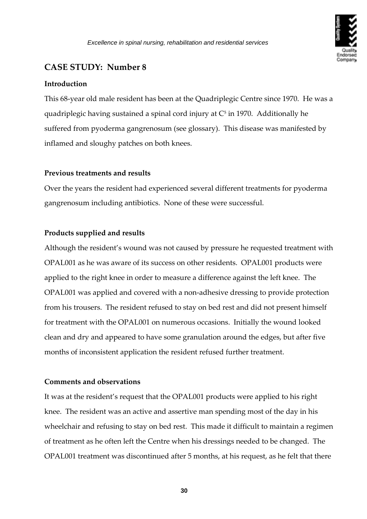

#### <span id="page-29-0"></span>**Introduction**

This 68‐year old male resident has been at the Quadriplegic Centre since 1970. He was a quadriplegic having sustained a spinal cord injury at  $C<sup>5</sup>$  in 1970. Additionally he suffered from pyoderma gangrenosum (see glossary). This disease was manifested by inflamed and sloughy patches on both knees.

#### **Previous treatments and results**

Over the years the resident had experienced several different treatments for pyoderma gangrenosum including antibiotics. None of these were successful.

#### **Products supplied and results**

Although the resident's wound was not caused by pressure he requested treatment with OPAL001 as he was aware of its success on other residents. OPAL001 products were applied to the right knee in order to measure a difference against the left knee. The OPAL001 was applied and covered with a non‐adhesive dressing to provide protection from his trousers. The resident refused to stay on bed rest and did not present himself for treatment with the OPAL001 on numerous occasions. Initially the wound looked clean and dry and appeared to have some granulation around the edges, but after five months of inconsistent application the resident refused further treatment.

#### **Comments and observations**

It was at the resident's request that the OPAL001 products were applied to his right knee. The resident was an active and assertive man spending most of the day in his wheelchair and refusing to stay on bed rest. This made it difficult to maintain a regimen of treatment as he often left the Centre when his dressings needed to be changed. The OPAL001 treatment was discontinued after 5 months, at his request, as he felt that there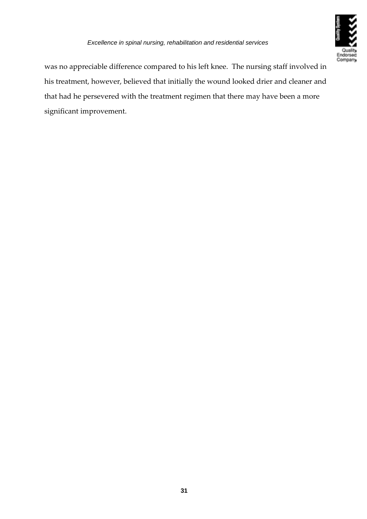

was no appreciable difference compared to his left knee. The nursing staff involved in his treatment, however, believed that initially the wound looked drier and cleaner and that had he persevered with the treatment regimen that there may have been a more significant improvement.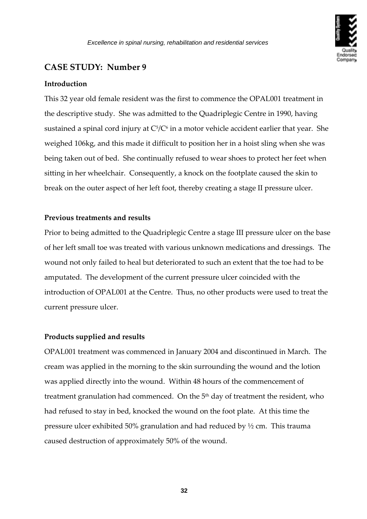

#### <span id="page-31-0"></span>**Introduction**

This 32 year old female resident was the first to commence the OPAL001 treatment in the descriptive study. She was admitted to the Quadriplegic Centre in 1990, having sustained a spinal cord injury at  $C^5/C^6$  in a motor vehicle accident earlier that year. She weighed 106kg, and this made it difficult to position her in a hoist sling when she was being taken out of bed. She continually refused to wear shoes to protect her feet when sitting in her wheelchair. Consequently, a knock on the footplate caused the skin to break on the outer aspect of her left foot, thereby creating a stage II pressure ulcer.

#### **Previous treatments and results**

Prior to being admitted to the Quadriplegic Centre a stage III pressure ulcer on the base of her left small toe was treated with various unknown medications and dressings. The wound not only failed to heal but deteriorated to such an extent that the toe had to be amputated. The development of the current pressure ulcer coincided with the introduction of OPAL001 at the Centre. Thus, no other products were used to treat the current pressure ulcer.

### **Products supplied and results**

OPAL001 treatment was commenced in January 2004 and discontinued in March. The cream was applied in the morning to the skin surrounding the wound and the lotion was applied directly into the wound. Within 48 hours of the commencement of treatment granulation had commenced. On the  $5<sup>th</sup>$  day of treatment the resident, who had refused to stay in bed, knocked the wound on the foot plate. At this time the pressure ulcer exhibited 50% granulation and had reduced by ½ cm. This trauma caused destruction of approximately 50% of the wound.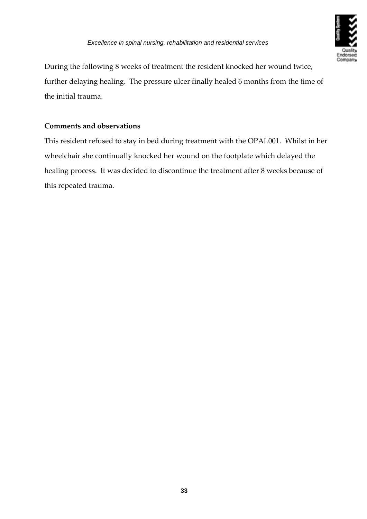During the following 8 weeks of treatment the resident knocked her wound twice, further delaying healing. The pressure ulcer finally healed 6 months from the time of the initial trauma.

### **Comments and observations**

This resident refused to stay in bed during treatment with the OPAL001. Whilst in her wheelchair she continually knocked her wound on the footplate which delayed the healing process. It was decided to discontinue the treatment after 8 weeks because of this repeated trauma.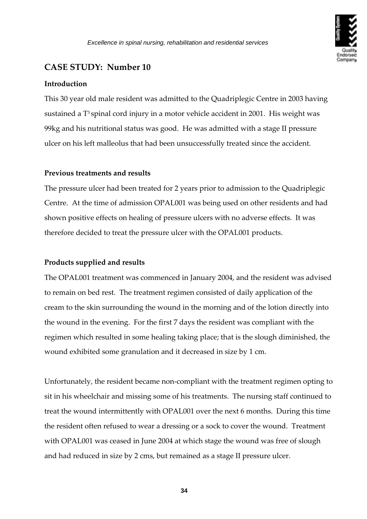

#### <span id="page-33-0"></span>**Introduction**

This 30 year old male resident was admitted to the Quadriplegic Centre in 2003 having sustained a T<sup>3</sup> spinal cord injury in a motor vehicle accident in 2001. His weight was 99kg and his nutritional status was good. He was admitted with a stage II pressure ulcer on his left malleolus that had been unsuccessfully treated since the accident.

#### **Previous treatments and results**

The pressure ulcer had been treated for 2 years prior to admission to the Quadriplegic Centre. At the time of admission OPAL001 was being used on other residents and had shown positive effects on healing of pressure ulcers with no adverse effects. It was therefore decided to treat the pressure ulcer with the OPAL001 products.

#### **Products supplied and results**

The OPAL001 treatment was commenced in January 2004, and the resident was advised to remain on bed rest. The treatment regimen consisted of daily application of the cream to the skin surrounding the wound in the morning and of the lotion directly into the wound in the evening. For the first 7 days the resident was compliant with the regimen which resulted in some healing taking place; that is the slough diminished, the wound exhibited some granulation and it decreased in size by 1 cm.

Unfortunately, the resident became non‐compliant with the treatment regimen opting to sit in his wheelchair and missing some of his treatments. The nursing staff continued to treat the wound intermittently with OPAL001 over the next 6 months. During this time the resident often refused to wear a dressing or a sock to cover the wound. Treatment with OPAL001 was ceased in June 2004 at which stage the wound was free of slough and had reduced in size by 2 cms, but remained as a stage II pressure ulcer.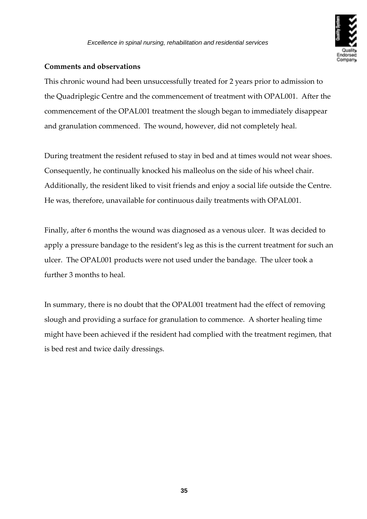

#### **Comments and observations**

This chronic wound had been unsuccessfully treated for 2 years prior to admission to the Quadriplegic Centre and the commencement of treatment with OPAL001. After the commencement of the OPAL001 treatment the slough began to immediately disappear and granulation commenced. The wound, however, did not completely heal.

During treatment the resident refused to stay in bed and at times would not wear shoes. Consequently, he continually knocked his malleolus on the side of his wheel chair. Additionally, the resident liked to visit friends and enjoy a social life outside the Centre. He was, therefore, unavailable for continuous daily treatments with OPAL001.

Finally, after 6 months the wound was diagnosed as a venous ulcer. It was decided to apply a pressure bandage to the resident's leg as this is the current treatment for such an ulcer. The OPAL001 products were not used under the bandage. The ulcer took a further 3 months to heal.

In summary, there is no doubt that the OPAL001 treatment had the effect of removing slough and providing a surface for granulation to commence. A shorter healing time might have been achieved if the resident had complied with the treatment regimen, that is bed rest and twice daily dressings.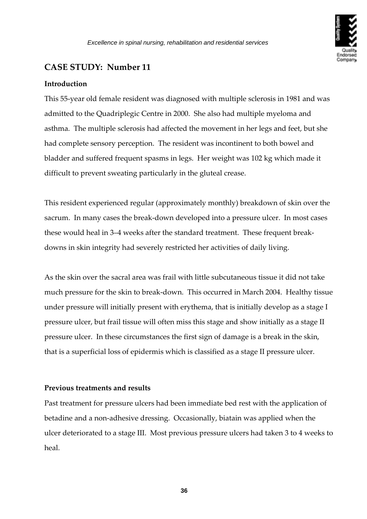

#### <span id="page-35-0"></span>**Introduction**

This 55‐year old female resident was diagnosed with multiple sclerosis in 1981 and was admitted to the Quadriplegic Centre in 2000. She also had multiple myeloma and asthma. The multiple sclerosis had affected the movement in her legs and feet, but she had complete sensory perception. The resident was incontinent to both bowel and bladder and suffered frequent spasms in legs. Her weight was 102 kg which made it difficult to prevent sweating particularly in the gluteal crease.

This resident experienced regular (approximately monthly) breakdown of skin over the sacrum. In many cases the break‐down developed into a pressure ulcer. In most cases these would heal in 3–4 weeks after the standard treatment. These frequent break‐ downs in skin integrity had severely restricted her activities of daily living.

As the skin over the sacral area was frail with little subcutaneous tissue it did not take much pressure for the skin to break‐down. This occurred in March 2004. Healthy tissue under pressure will initially present with erythema, that is initially develop as a stage I pressure ulcer, but frail tissue will often miss this stage and show initially as a stage II pressure ulcer. In these circumstances the first sign of damage is a break in the skin, that is a superficial loss of epidermis which is classified as a stage II pressure ulcer.

#### **Previous treatments and results**

Past treatment for pressure ulcers had been immediate bed rest with the application of betadine and a non‐adhesive dressing. Occasionally, biatain was applied when the ulcer deteriorated to a stage III. Most previous pressure ulcers had taken 3 to 4 weeks to heal.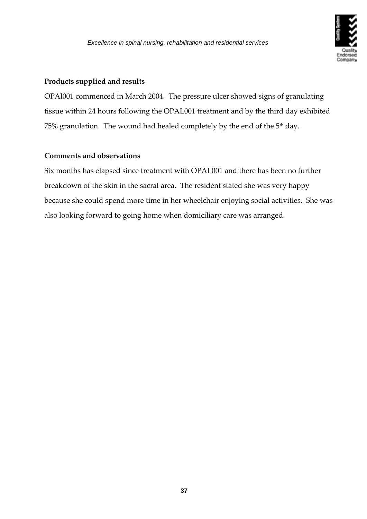

### **Products supplied and results**

OPAl001 commenced in March 2004. The pressure ulcer showed signs of granulating tissue within 24 hours following the OPAL001 treatment and by the third day exhibited 75% granulation. The wound had healed completely by the end of the  $5<sup>th</sup>$  day.

#### **Comments and observations**

Six months has elapsed since treatment with OPAL001 and there has been no further breakdown of the skin in the sacral area. The resident stated she was very happy because she could spend more time in her wheelchair enjoying social activities. She was also looking forward to going home when domiciliary care was arranged.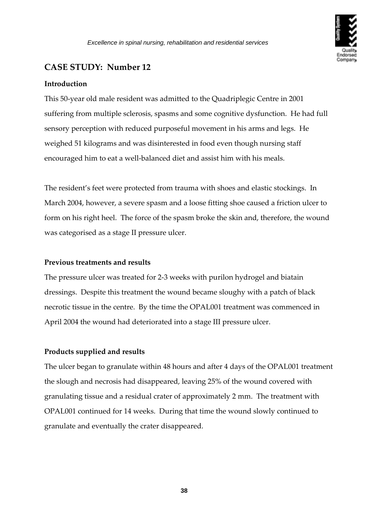

#### <span id="page-37-0"></span>**Introduction**

This 50‐year old male resident was admitted to the Quadriplegic Centre in 2001 suffering from multiple sclerosis, spasms and some cognitive dysfunction.He had full sensory perception with reduced purposeful movement in his arms and legs. He weighed 51 kilograms and was disinterested in food even though nursing staff encouraged him to eat a well-balanced diet and assist him with his meals.

The resident's feet were protected from trauma with shoes and elastic stockings. In March 2004, however, a severe spasm and a loose fitting shoe caused a friction ulcer to form on his right heel. The force of the spasm broke the skin and, therefore, the wound was categorised as a stage II pressure ulcer.

#### **Previous treatments and results**

The pressure ulcer was treated for 2‐3 weeks with purilon hydrogel and biatain dressings. Despite this treatment the wound became sloughy with a patch of black necrotic tissue in the centre. By the time the OPAL001 treatment was commenced in April 2004 the wound had deteriorated into a stage III pressure ulcer.

#### **Products supplied and results**

The ulcer began to granulate within 48 hours and after 4 days of the OPAL001 treatment the slough and necrosis had disappeared, leaving 25% of the wound covered with granulating tissue and a residual crater of approximately 2 mm. The treatment with OPAL001 continued for 14 weeks. During that time the wound slowly continued to granulate and eventually the crater disappeared.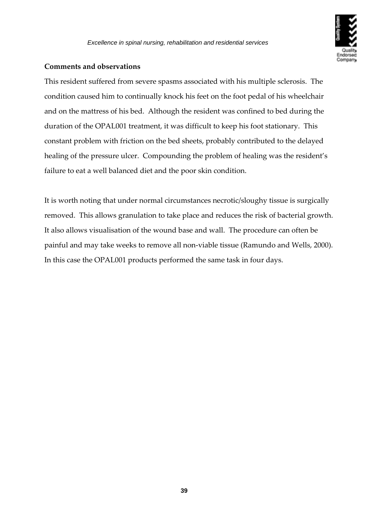

#### **Comments and observations**

This resident suffered from severe spasms associated with his multiple sclerosis. The condition caused him to continually knock his feet on the foot pedal of his wheelchair and on the mattress of his bed. Although the resident was confined to bed during the duration of the OPAL001 treatment, it was difficult to keep his foot stationary. This constant problem with friction on the bed sheets, probably contributed to the delayed healing of the pressure ulcer. Compounding the problem of healing was the resident's failure to eat a well balanced diet and the poor skin condition.

It is worth noting that under normal circumstances necrotic/sloughy tissue is surgically removed. This allows granulation to take place and reduces the risk of bacterial growth. It also allows visualisation of the wound base and wall. The procedure can often be painful and may take weeks to remove all non‐viable tissue (Ramundo and Wells, 2000). In this case the OPAL001 products performed the same task in four days.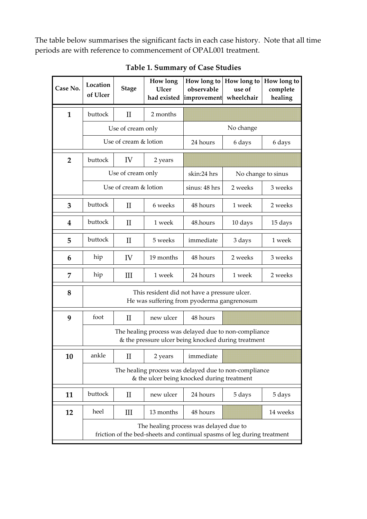The table below summarises the significant facts in each case history. Note that all time periods are with reference to commencement of OPAL001 treatment.

| Case No.                | Location<br>of Ulcer                                                                                              | <b>Stage</b>                    | How long<br><b>Ulcer</b><br>had existed | observable<br>improvement | How long to   How long to<br>use of<br>wheelchair | How long to<br>complete<br>healing |
|-------------------------|-------------------------------------------------------------------------------------------------------------------|---------------------------------|-----------------------------------------|---------------------------|---------------------------------------------------|------------------------------------|
| $\mathbf{1}$            | buttock                                                                                                           | $\mathbf{I}$                    | 2 months                                |                           |                                                   |                                    |
|                         |                                                                                                                   | Use of cream only               |                                         | No change                 |                                                   |                                    |
|                         | Use of cream & lotion                                                                                             |                                 |                                         | 24 hours                  | 6 days                                            | 6 days                             |
| $\overline{2}$          | buttock                                                                                                           | IV                              | 2 years                                 |                           |                                                   |                                    |
|                         | Use of cream only                                                                                                 |                                 |                                         | skin:24 hrs               | No change to sinus                                |                                    |
|                         | Use of cream & lotion                                                                                             |                                 | sinus: 48 hrs                           | 2 weeks                   | 3 weeks                                           |                                    |
| 3                       | buttock                                                                                                           | $\rm II$                        | 6 weeks                                 | 48 hours                  | 1 week                                            | 2 weeks                            |
| $\overline{\mathbf{4}}$ | buttock                                                                                                           | $\rm II$                        | 1 week                                  | 48.hours                  | 10 days                                           | 15 days                            |
| 5                       | buttock                                                                                                           | $\rm{II}$                       | 5 weeks                                 | immediate                 | 3 days                                            | 1 week                             |
| 6                       | hip                                                                                                               | IV                              | 19 months                               | 48 hours                  | 2 weeks                                           | 3 weeks                            |
| 7                       | hip                                                                                                               | III                             | 1 week                                  | 24 hours                  | 1 week                                            | 2 weeks                            |
| 8                       | This resident did not have a pressure ulcer.<br>He was suffering from pyoderma gangrenosum                        |                                 |                                         |                           |                                                   |                                    |
| 9                       | foot                                                                                                              | $\mathbf{I}$                    | new ulcer                               | 48 hours                  |                                                   |                                    |
|                         | The healing process was delayed due to non-compliance<br>& the pressure ulcer being knocked during treatment      |                                 |                                         |                           |                                                   |                                    |
| 10                      | ankle                                                                                                             | $\mathbf{I}$                    | 2 years                                 | immediate                 |                                                   |                                    |
|                         | The healing process was delayed due to non-compliance<br>& the ulcer being knocked during treatment               |                                 |                                         |                           |                                                   |                                    |
| 11                      | buttock                                                                                                           | $\mathop{\mathrm{II}}\nolimits$ | new ulcer                               | 24 hours                  | 5 days                                            | 5 days                             |
| 12                      | heel                                                                                                              | Ш                               | 13 months                               | 48 hours                  |                                                   | 14 weeks                           |
|                         | The healing process was delayed due to<br>friction of the bed-sheets and continual spasms of leg during treatment |                                 |                                         |                           |                                                   |                                    |

**Table 1. Summary of Case Studies**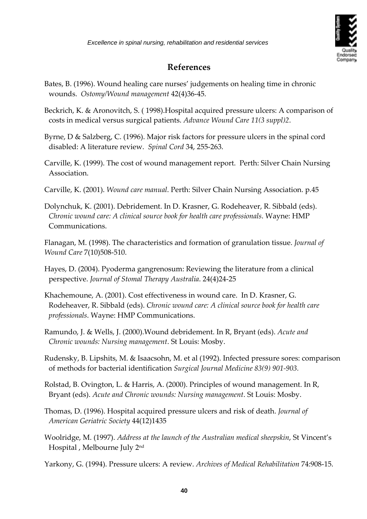

### **References**

- <span id="page-40-0"></span>Bates, B. (1996). Wound healing care nurses' judgements on healing time in chronic wounds. *Ostomy/Wound management* 42(4)36‐45.
- Beckrich, K. & Aronovitch, S. ( 1998).Hospital acquired pressure ulcers: A comparison of costs in medical versus surgical patients. *Advance Wound Care 11(3 suppl)2*.
- Byrne, D & Salzberg, C. (1996). Major risk factors for pressure ulcers in the spinal cord disabled: A literature review. *Spinal Cord* 34, 255‐263.
- Carville, K. (1999). The cost of wound management report. Perth: Silver Chain Nursing Association.
- Carville, K. (2001). *Wound care manual*. Perth: Silver Chain Nursing Association. p.45
- Dolynchuk, K. (2001). Debridement. In D. Krasner, G. Rodeheaver, R. Sibbald (eds). *Chronic wound care: A clinical source book for health care professionals*. Wayne: HMP Communications.

Flanagan, M. (1998). The characteristics and formation of granulation tissue. *Journal of Wound Care* 7(10)508‐510.

- Hayes, D. (2004). Pyoderma gangrenosum: Reviewing the literature from a clinical perspective. *Journal of Stomal Therapy Australia*. 24(4)24‐25
- Khachemoune, A. (2001). Cost effectiveness in wound care. In D. Krasner, G. Rodeheaver, R. Sibbald (eds). *Chronic wound care: A clinical source book for health care professionals*. Wayne: HMP Communications.
- Ramundo, J. & Wells, J. (2000).Wound debridement. In R, Bryant (eds). *Acute and Chronic wounds: Nursing management*. St Louis: Mosby.
- Rudensky, B. Lipshits, M. & Isaacsohn, M. et al (1992). Infected pressure sores: comparison of methods for bacterial identification *Surgical Journal Medicine 83(9) 901‐903.*
- Rolstad, B. Ovington, L. & Harris, A. (2000). Principles of wound management. In R, Bryant (eds). *Acute and Chronic wounds: Nursing management*. St Louis: Mosby.
- Thomas, D. (1996). Hospital acquired pressure ulcers and risk of death. *Journal of American Geriatric Society* 44(12)1435
- Woolridge, M. (1997). *Address at the launch of the Australian medical sheepskin*, St Vincent's Hospital , Melbourne July 2nd

Yarkony, G. (1994). Pressure ulcers: A review. *Archives of Medical Rehabilitation* 74:908‐15.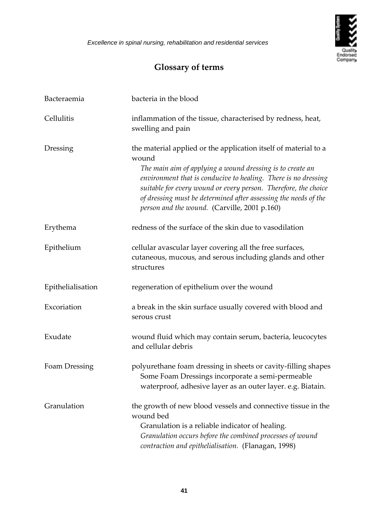

## **Glossary of terms**

<span id="page-41-0"></span>

| Bacteraemia       | bacteria in the blood                                                                                                                                                                                                                                                                                                                                                                         |
|-------------------|-----------------------------------------------------------------------------------------------------------------------------------------------------------------------------------------------------------------------------------------------------------------------------------------------------------------------------------------------------------------------------------------------|
| Cellulitis        | inflammation of the tissue, characterised by redness, heat,<br>swelling and pain                                                                                                                                                                                                                                                                                                              |
| Dressing          | the material applied or the application itself of material to a<br>wound<br>The main aim of applying a wound dressing is to create an<br>environment that is conducive to healing. There is no dressing<br>suitable for every wound or every person. Therefore, the choice<br>of dressing must be determined after assessing the needs of the<br>person and the wound. (Carville, 2001 p.160) |
| Erythema          | redness of the surface of the skin due to vasodilation                                                                                                                                                                                                                                                                                                                                        |
| Epithelium        | cellular avascular layer covering all the free surfaces,<br>cutaneous, mucous, and serous including glands and other<br>structures                                                                                                                                                                                                                                                            |
| Epithelialisation | regeneration of epithelium over the wound                                                                                                                                                                                                                                                                                                                                                     |
| Excoriation       | a break in the skin surface usually covered with blood and<br>serous crust                                                                                                                                                                                                                                                                                                                    |
| Exudate           | wound fluid which may contain serum, bacteria, leucocytes<br>and cellular debris                                                                                                                                                                                                                                                                                                              |
| Foam Dressing     | polyurethane foam dressing in sheets or cavity-filling shapes<br>Some Foam Dressings incorporate a semi-permeable<br>waterproof, adhesive layer as an outer layer. e.g. Biatain.                                                                                                                                                                                                              |
| Granulation       | the growth of new blood vessels and connective tissue in the<br>wound bed<br>Granulation is a reliable indicator of healing.<br>Granulation occurs before the combined processes of wound<br>contraction and epithelialisation. (Flanagan, 1998)                                                                                                                                              |